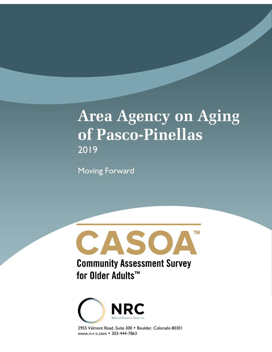# **Area Agency on Aging of Pasco-Pinellas** 2019

Moving Forward





2955 Valmont Road, Suite 300 • Boulder, Colorado 80301 www.n-r-c.com • 303-444-7863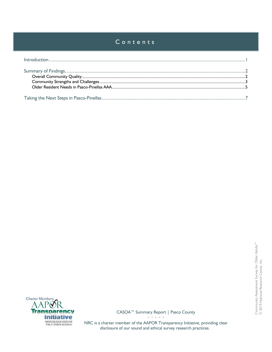# Contents



CASOA™ Summary Report | Pasco County • • • • •

NRC is a charter member of the AAPOR Transparency Initiative, providing clear disclosure of our sound and ethical survey research practices.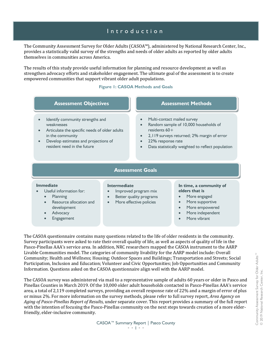# Introduction

<span id="page-2-0"></span>The Community Assessment Survey for Older Adults (CASOA™), administered by National Research Center, Inc., provides a statistically valid survey of the strengths and needs of older adults as reported by older adults themselves in communities across America.

The results of this study provide useful information for planning and resource development as well as strengthen advocacy efforts and stakeholder engagement. The ultimate goal of the assessment is to create empowered communities that support vibrant older adult populations.

## **Figure 1: CASOA Methods and Goals**

| <b>Assessment Objectives</b>                  | <b>Assessment Methods</b>                    |
|-----------------------------------------------|----------------------------------------------|
| Identify community strengths and              | Multi-contact mailed survey                  |
| weaknesses                                    | Random sample of 10,000 households of        |
| Articulate the specific needs of older adults | residents $60+$                              |
| in the community                              | 2, I 19 surveys returned; 2% margin of error |
| Douglas ostimates and projections of          | $2206$ response rate                         |

- Develop estimates and projections of resident need in the future
- 22% response rate
- Data statistically weighted to reflect population

## **Assessment Goals**

#### **Immediate**

- Useful information for:
	- Planning
	- Resource allocation and development
	- **Advocacy**
	- **Engagement**

#### **Intermediate**

- Improved program mix
- Better quality programs
	- More effective policies

#### **In time, a community of elders that is**

- More engaged
- More supportive
- More empowered
- More independent
- More vibrant

The CASOA questionnaire contains many questions related to the life of older residents in the community. Survey participants were asked to rate their overall quality of life, as well as aspects of quality of life in the Pasco-Pinellas AAA's service area. In addition, NRC researchers mapped the CASOA instrument to the AARP Livable Communities model. The categories of community livability for the AARP model include: Overall Community; Health and Wellness; Housing; Outdoor Spaces and Buildings; Transportation and Streets; Social Participation, Inclusion and Education; Volunteer and Civic Opportunities; Job Opportunities and Community Information. Questions asked on the CASOA questionnaire align well with the AARP model.

The CASOA survey was administered via mail to a representative sample of adults 60 years or older in Pasco and Pinellas Counties in March 2019. Of the 10,000 older adult households contacted in Pasco-Pinellas AAA's service area, a total of 2,119 completed surveys, providing an overall response rate of 22% and a margin of error of plus or minus 2%. For more information on the survey methods, please refer to full survey report, *Area Agency on Aging of Pasco-Pinellas Report of Results*, under separate cover. This report provides a summary of the full report with the intention of focusing the Pasco-Pinellas community on the next steps towards creation of a more elderfriendly, elder-inclusive community.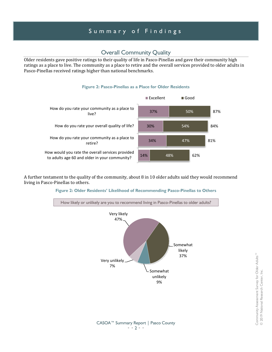# Summary of Findings

## Overall Community Quality

<span id="page-3-1"></span><span id="page-3-0"></span>Older residents gave positive ratings to their quality of life in Pasco-Pinellas and gave their community high ratings as a place to live. The community as a place to retire and the overall services provided to older adults in Pasco-Pinellas received ratings higher than national benchmarks.

## **Figure 2: Pasco-Pinellas as a Place for Older Residents**



A further testament to the quality of the community, about 8 in 10 older adults said they would recommend living in Pasco-Pinellas to others.

## **Figure 2: Older Residents' Likelihood of Recommending Pasco-Pinellas to Others**



Community Assessment Survey for Older Adults™ Community Assessment Survey for Older Adults"<sup>"</sup><br>© 2019 National Research Center, Inc. © 2019 National Research Center, Inc.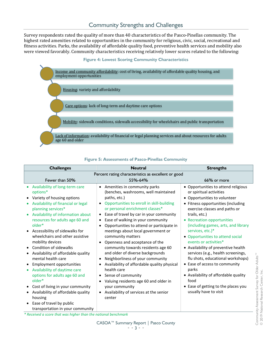<span id="page-4-0"></span>Survey respondents rated the quality of more than 40 characteristics of the Pasco-Pinellas community. The highest rated amenities related to opportunities in the community for religious, civic, social, recreational and fitness activities. Parks, the availability of affordable quality food, preventive health services and mobility also were viewed favorably. Community characteristics receiving relatively lower scores related to the following:





| <b>Challenges</b>                                                                                                                                                                                                                                                                                                                                                                                                                                                                                                                                                                                                                                                                     | <b>Neutral</b>                                                                                                                                                                                                                                                                                                                                                                                                                                                                                                                                                                                                                                                                                                                                                             | <b>Strengths</b>                                                                                                                                                                                                                                                                                                                                                                                                                                                                                                                                                                                                         |  |
|---------------------------------------------------------------------------------------------------------------------------------------------------------------------------------------------------------------------------------------------------------------------------------------------------------------------------------------------------------------------------------------------------------------------------------------------------------------------------------------------------------------------------------------------------------------------------------------------------------------------------------------------------------------------------------------|----------------------------------------------------------------------------------------------------------------------------------------------------------------------------------------------------------------------------------------------------------------------------------------------------------------------------------------------------------------------------------------------------------------------------------------------------------------------------------------------------------------------------------------------------------------------------------------------------------------------------------------------------------------------------------------------------------------------------------------------------------------------------|--------------------------------------------------------------------------------------------------------------------------------------------------------------------------------------------------------------------------------------------------------------------------------------------------------------------------------------------------------------------------------------------------------------------------------------------------------------------------------------------------------------------------------------------------------------------------------------------------------------------------|--|
| Percent rating characteristics as excellent or good                                                                                                                                                                                                                                                                                                                                                                                                                                                                                                                                                                                                                                   |                                                                                                                                                                                                                                                                                                                                                                                                                                                                                                                                                                                                                                                                                                                                                                            |                                                                                                                                                                                                                                                                                                                                                                                                                                                                                                                                                                                                                          |  |
| Fewer than 50%                                                                                                                                                                                                                                                                                                                                                                                                                                                                                                                                                                                                                                                                        | 55%-64%                                                                                                                                                                                                                                                                                                                                                                                                                                                                                                                                                                                                                                                                                                                                                                    | 66% or more                                                                                                                                                                                                                                                                                                                                                                                                                                                                                                                                                                                                              |  |
| Availability of long-term care<br>options*<br>Variety of housing options<br>$\bullet$<br>Availability of financial or legal<br>planning services*<br>Availability of information about<br>resources for adults age 60 and<br>older*<br>Accessibility of sidewalks for<br>wheelchairs and other assistive<br>mobility devices<br>Condition of sidewalks<br>Availability of affordable quality<br>mental health care<br><b>Employment opportunities</b><br>Availability of daytime care<br>options for adults age 60 and<br>older*<br>Cost of living in your community<br>Availability of affordable quality<br>housing<br>Ease of travel by public<br>transportation in your community | Amenities in community parks<br>(benches, washrooms, well maintained<br>paths, etc.)<br>Opportunities to enroll in skill-building<br>$\bullet$<br>or personal enrichment classes*<br>Ease of travel by car in your community<br>$\bullet$<br>Ease of walking in your community<br>Opportunities to attend or participate in<br>$\bullet$<br>meetings about local government or<br>community matters<br>Openness and acceptance of the<br>community towards residents age 60<br>and older of diverse backgrounds<br>Neighborliness of your community<br>٠<br>Availability of affordable quality physical<br>health care<br>Sense of community<br>$\bullet$<br>Valuing residents age 60 and older in<br>your community<br>• Availability of services at the senior<br>center | • Opportunities to attend religious<br>or spiritual activities<br>• Opportunities to volunteer<br>• Fitness opportunities (including<br>exercise classes and paths or<br>trails, etc.)<br>• Recreation opportunities<br>(including games, arts, and library<br>services, etc.)*<br>• Opportunities to attend social<br>events or activities*<br>• Availability of preventive health<br>services (e.g., health screenings,<br>flu shots, educational workshops)<br>• Ease of access to community<br>parks<br>• Availability of affordable quality<br>food<br>• Ease of getting to the places you<br>usually have to visit |  |
| * Received a scare that was higher than the national henchmark                                                                                                                                                                                                                                                                                                                                                                                                                                                                                                                                                                                                                        |                                                                                                                                                                                                                                                                                                                                                                                                                                                                                                                                                                                                                                                                                                                                                                            |                                                                                                                                                                                                                                                                                                                                                                                                                                                                                                                                                                                                                          |  |

## **Figure 5: Assessments of Pasco-Pinellas Community**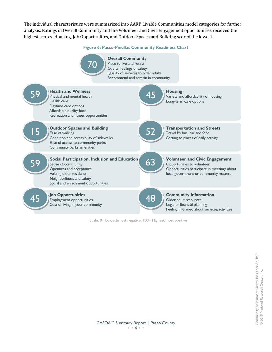The individual characteristics were summarized into AARP Livable Communities model categories for further analysis. Ratings of Overall Community and the Volunteer and Civic Engagement opportunities received the highest scores. Housing, Job Opportunities, and Outdoor Spaces and Building scored the lowest.

**Figure 6: Pasco-Pinellas Community Readiness Chart**



Scale: 0=Lowest/most negative, 100=Highest/most positive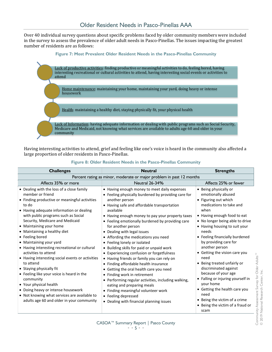<span id="page-6-0"></span>Over 40 individual survey questions about specific problems faced by older community members were included in the survey to assess the prevalence of older adult needs in Pasco-Pinellas. The issues impacting the greatest number of residents are as follows:



Having interesting activities to attend, grief and feeling like one's voice is heard in the community also affected a large proportion of older residents in Pasco-Pinellas.

| Figure 8: Older Resident Needs in the Pasco-Pinellas Community |  |
|----------------------------------------------------------------|--|
|----------------------------------------------------------------|--|

| <b>Challenges</b>                                                                                                                                                                                                                                                                                                                                                                                                                                                                                                                                                                                                                                                                                                                                   | <b>Neutral</b>                                                                                                                                                                                                                                                                                                                                                                                                                                                                                                                                                                                                                                                                                                                                                                                                                                                                    | <b>Strengths</b>                                                                                                                                                                                                                                                                                                                                                                                                                                                                                                                                                                                |  |
|-----------------------------------------------------------------------------------------------------------------------------------------------------------------------------------------------------------------------------------------------------------------------------------------------------------------------------------------------------------------------------------------------------------------------------------------------------------------------------------------------------------------------------------------------------------------------------------------------------------------------------------------------------------------------------------------------------------------------------------------------------|-----------------------------------------------------------------------------------------------------------------------------------------------------------------------------------------------------------------------------------------------------------------------------------------------------------------------------------------------------------------------------------------------------------------------------------------------------------------------------------------------------------------------------------------------------------------------------------------------------------------------------------------------------------------------------------------------------------------------------------------------------------------------------------------------------------------------------------------------------------------------------------|-------------------------------------------------------------------------------------------------------------------------------------------------------------------------------------------------------------------------------------------------------------------------------------------------------------------------------------------------------------------------------------------------------------------------------------------------------------------------------------------------------------------------------------------------------------------------------------------------|--|
| Percent rating as minor, moderate or major problem in past 12 months                                                                                                                                                                                                                                                                                                                                                                                                                                                                                                                                                                                                                                                                                |                                                                                                                                                                                                                                                                                                                                                                                                                                                                                                                                                                                                                                                                                                                                                                                                                                                                                   |                                                                                                                                                                                                                                                                                                                                                                                                                                                                                                                                                                                                 |  |
| Affects 35% or more                                                                                                                                                                                                                                                                                                                                                                                                                                                                                                                                                                                                                                                                                                                                 | Neutral 26-34%                                                                                                                                                                                                                                                                                                                                                                                                                                                                                                                                                                                                                                                                                                                                                                                                                                                                    | Affects 25% or fewer                                                                                                                                                                                                                                                                                                                                                                                                                                                                                                                                                                            |  |
| • Dealing with the loss of a close family<br>member or friend<br>• Finding productive or meaningful activities<br>to do<br>• Having adequate information or dealing<br>with public programs such as Social<br>Security, Medicare and Medicaid<br>• Maintaining your home<br>• Maintaining a healthy diet<br>• Feeling bored<br>• Maintaining your yard<br>• Having interesting recreational or cultural<br>activities to attend<br>• Having interesting social events or activities<br>to attend<br>• Staying physically fit<br>• Feeling like your voice is heard in the<br>community<br>• Your physical health<br>• Doing heavy or intense housework<br>• Not knowing what services are available to<br>adults age 60 and older in your community | • Having enough money to meet daily expenses<br>• Feeling physically burdened by providing care for<br>another person<br>• Having safe and affordable transportation<br>available<br>• Having enough money to pay your property taxes<br>• Feeling emotionally burdened by providing care<br>for another person<br>• Dealing with legal issues<br>• Affording the medications you need<br>• Feeling lonely or isolated<br>• Building skills for paid or unpaid work<br>• Experiencing confusion or forgetfulness<br>• Having friends or family you can rely on<br>• Finding affordable health insurance<br>• Getting the oral health care you need<br>• Finding work in retirement<br>• Performing regular activities, including walking,<br>eating and preparing meals<br>• Finding meaningful volunteer work<br>• Feeling depressed<br>• Dealing with financial planning issues | • Being physically or<br>emotionally abused<br>• Figuring out which<br>medications to take and<br>when<br>• Having enough food to eat<br>• No longer being able to drive<br>• Having housing to suit your<br>needs<br>• Feeling financially burdened<br>by providing care for<br>another person<br>• Getting the vision care you<br>need<br>• Being treated unfairly or<br>discriminated against<br>because of your age<br>• Falling or injuring yourself in<br>your home<br>• Getting the health care you<br>need<br>• Being the victim of a crime<br>• Being the victim of a fraud or<br>scam |  |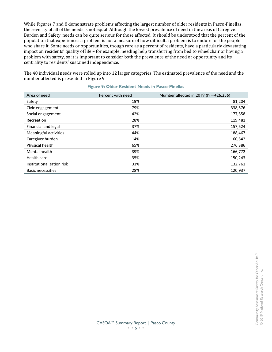While Figures 7 and 8 demonstrate problems affecting the largest number of older residents in Pasco-Pinellas, the severity of all of the needs is not equal. Although the lowest prevalence of need in the areas of Caregiver Burden and Safety, needs can be quite serious for those affected. It should be understood that the percent of the population that experiences a problem is not a measure of how difficult a problem is to endure for the people who share it. Some needs or opportunities, though rare as a percent of residents, have a particularly devastating impact on residents' quality of life – for example, needing help transferring from bed to wheelchair or having a problem with safety, so it is important to consider both the prevalence of the need or opportunity and its centrality to residents' sustained independence.

The 40 individual needs were rolled up into 12 larger categories. The estimated prevalence of the need and the number affected is presented in Figure 9.

| Area of need                 | Percent with need | Number affected in 2019 (N=426,256) |
|------------------------------|-------------------|-------------------------------------|
| Safety                       | 19%               | 81,204                              |
| Civic engagement             | 79%               | 338,576                             |
| Social engagement            | 42%               | 177,558                             |
| Recreation                   | 28%               | 119,481                             |
| Financial and legal          | 37%               | 157,524                             |
| <b>Meaningful activities</b> | 44%               | 188,467                             |
| Caregiver burden             | 14%               | 60,542                              |
| Physical health              | 65%               | 276,386                             |
| Mental health                | 39%               | 166,772                             |
| Health care                  | 35%               | 150,243                             |
| Institutionalization risk    | 31%               | 132,761                             |
| <b>Basic necessities</b>     | 28%               | 120,937                             |

#### **Figure 9: Older Resident Needs in Pasco-Pinellas**